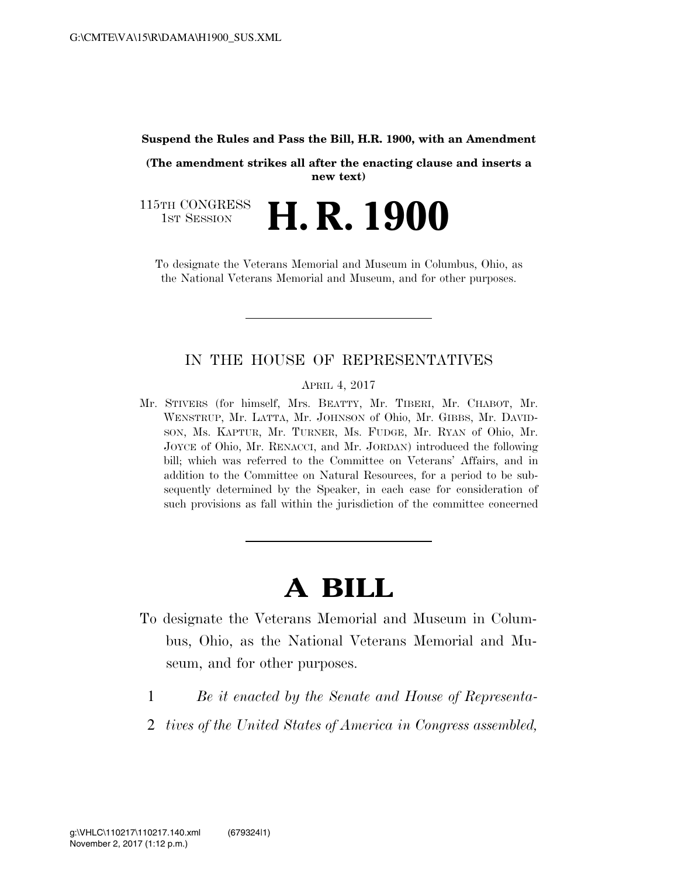#### **Suspend the Rules and Pass the Bill, H.R. 1900, with an Amendment**

**(The amendment strikes all after the enacting clause and inserts a new text)** 

115TH CONGRESS<br>1st Session H. R. 1900

To designate the Veterans Memorial and Museum in Columbus, Ohio, as the National Veterans Memorial and Museum, and for other purposes.

# IN THE HOUSE OF REPRESENTATIVES

APRIL 4, 2017

Mr. STIVERS (for himself, Mrs. BEATTY, Mr. TIBERI, Mr. CHABOT, Mr. WENSTRUP, Mr. LATTA, Mr. JOHNSON of Ohio, Mr. GIBBS, Mr. DAVID-SON, Ms. KAPTUR, Mr. TURNER, Ms. FUDGE, Mr. RYAN of Ohio, Mr. JOYCE of Ohio, Mr. RENACCI, and Mr. JORDAN) introduced the following bill; which was referred to the Committee on Veterans' Affairs, and in addition to the Committee on Natural Resources, for a period to be subsequently determined by the Speaker, in each case for consideration of such provisions as fall within the jurisdiction of the committee concerned

# **A BILL**

- To designate the Veterans Memorial and Museum in Columbus, Ohio, as the National Veterans Memorial and Museum, and for other purposes.
	- 1 *Be it enacted by the Senate and House of Representa-*
	- 2 *tives of the United States of America in Congress assembled,*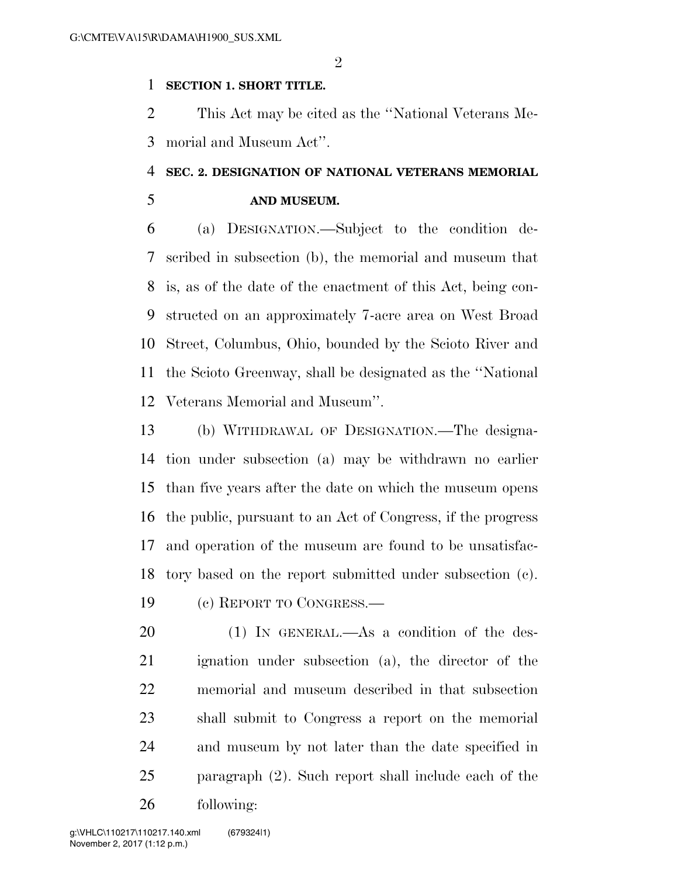### **SECTION 1. SHORT TITLE.**

 This Act may be cited as the ''National Veterans Me-morial and Museum Act''.

# **SEC. 2. DESIGNATION OF NATIONAL VETERANS MEMORIAL**

# **AND MUSEUM.**

 (a) DESIGNATION.—Subject to the condition de- scribed in subsection (b), the memorial and museum that is, as of the date of the enactment of this Act, being con- structed on an approximately 7-acre area on West Broad Street, Columbus, Ohio, bounded by the Scioto River and the Scioto Greenway, shall be designated as the ''National Veterans Memorial and Museum''.

 (b) WITHDRAWAL OF DESIGNATION.—The designa- tion under subsection (a) may be withdrawn no earlier than five years after the date on which the museum opens the public, pursuant to an Act of Congress, if the progress and operation of the museum are found to be unsatisfac-tory based on the report submitted under subsection (c).

(c) REPORT TO CONGRESS.—

20 (1) IN GENERAL.—As a condition of the des- ignation under subsection (a), the director of the memorial and museum described in that subsection shall submit to Congress a report on the memorial and museum by not later than the date specified in paragraph (2). Such report shall include each of the following: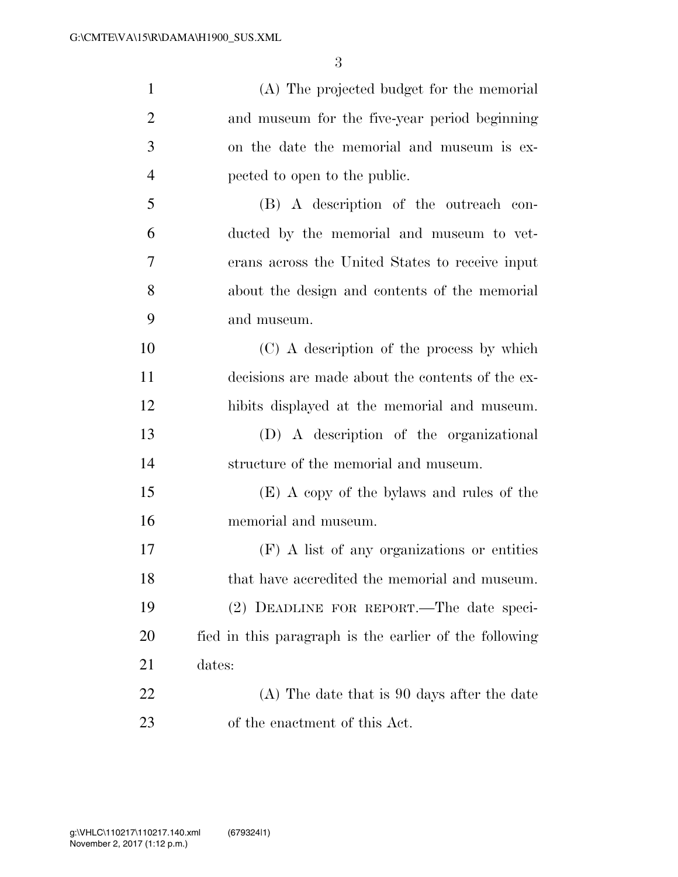| $\mathbf{1}$   | (A) The projected budget for the memorial              |
|----------------|--------------------------------------------------------|
| $\overline{2}$ | and museum for the five-year period beginning          |
| 3              | on the date the memorial and museum is ex-             |
| $\overline{4}$ | pected to open to the public.                          |
| 5              | (B) A description of the outreach con-                 |
| 6              | ducted by the memorial and museum to vet-              |
| 7              | erans across the United States to receive input        |
| 8              | about the design and contents of the memorial          |
| 9              | and museum.                                            |
| 10             | (C) A description of the process by which              |
| 11             | decisions are made about the contents of the ex-       |
| 12             | hibits displayed at the memorial and museum.           |
| 13             | (D) A description of the organizational                |
| 14             | structure of the memorial and museum.                  |
| 15             | (E) A copy of the bylaws and rules of the              |
| 16             | memorial and museum.                                   |
| 17             | (F) A list of any organizations or entities            |
| 18             | that have accredited the memorial and museum.          |
| 19             | (2) DEADLINE FOR REPORT.—The date speci-               |
| 20             | fied in this paragraph is the earlier of the following |
| 21             | dates:                                                 |
| 22             | (A) The date that is 90 days after the date            |
| 23             | of the enactment of this Act.                          |